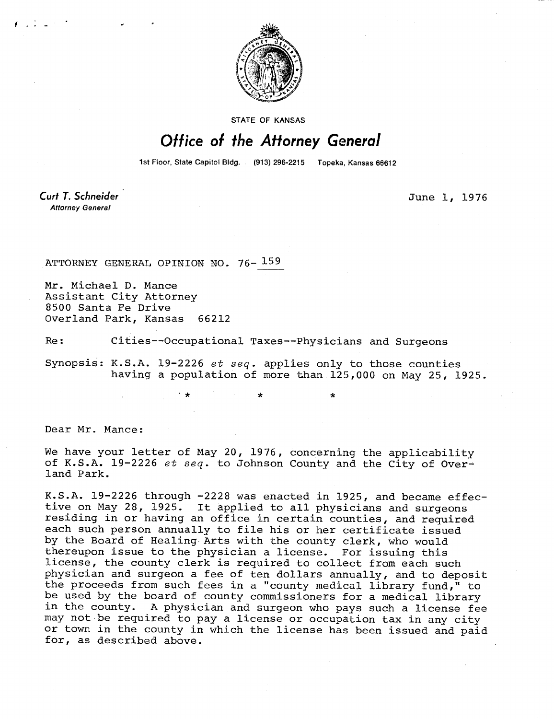

STATE OF KANSAS

## Office of the Attorney General

1st Floor, State Capitol Bldg. (913) 296-2215 Topeka, Kansas 66612

Curt T. Schneider **Attorney General** 

 $\ell$  , in the set of  $\ell$ 

June 1, 1976

ATTORNEY GENERAL OPINION NO. 76- 159

Mr. Michael D. Mance Assistant City Attorney 8500 Santa Fe Drive Overland Park, Kansas 66212

Re: Cities--Occupational Taxes--Physicians and Surgeons

Synopsis: K.S.A. 19-2226 et seq. applies only to those counties having a population of more than 125,000 on May 25, 1925.

Dear Mr. Mance:

We have your letter of May 20, 1976, concerning the applicability of K.S.A. 19-2226 et seq. to Johnson County and the City of Overland Park.

K.S.A. 19-2226 through -2228 was enacted in 1925, and became effective on May 28, 1925. It applied to all physicians and surgeons residing in or having an office in certain counties, and required each such person annually to file his or her certificate issued by the Board of Healing Arts with the county clerk, who would thereupon issue to the physician a license. For issuing this license, the county clerk is required to collect from each such physician and surgeon a fee of ten dollars annually, and to deposit the proceeds from such fees in a "county medical library fund," to be used by the board of county commissioners for a medical library in the county. A physician and surgeon who pays such a license fee may not be required to pay a license or occupation tax in any city or town in the county in which the license has been issued and paid for, as described above.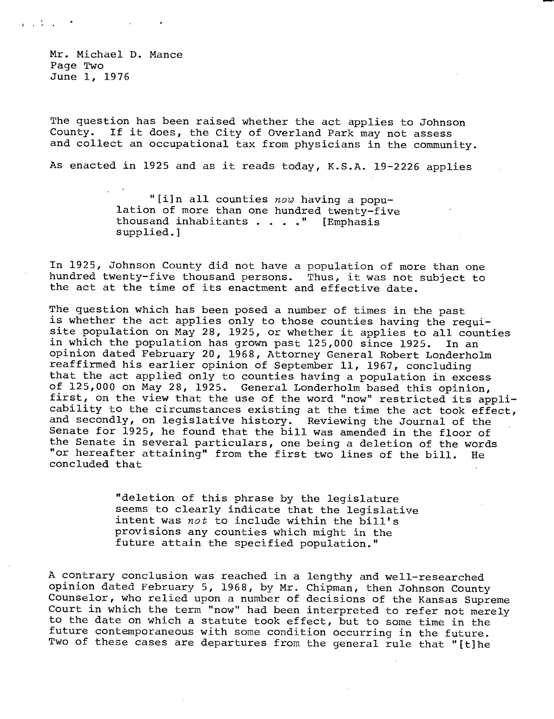Mr. Michael D. Mance Page Two June 1, 1976

The question has been raised whether the act applies to Johnson County. If it does, the City of Overland Park may not assess and collect an occupational tax from physicians in the community.

As enacted in 1925 and as it reads today, K.S.A. 19-2226 applies

"[i]n all counties now having a population of more than one hundred twenty-five thousand inhabitants . . . ." [Emphasis supplied.]

In 1925, Johnson County did not have a population of more than one hundred twenty-five thousand persons. Thus, it was not subject to the act at the time of its enactment and effective date.

The question which has been posed a number of times in the past is whether the act applies only to those counties having the requisite population on May 28, 1925, or whether it applies to all counties in which the population has grown past 125,000 since 1925. In an opinion dated February 20, 1968, Attorney General Robert Londerholm reaffirmed his earlier opinion of September 11, 1967, concluding that the act applied only to counties having a population in excess of 125,000 on May 28, 1925. General Londerholm based this opinion, first, on the view that the use of the word "now" restricted its applicability to the circumstances existing at the time the act took effect, and secondly, on legislative history. Reviewing the Journal of the Senate for 1925, he found that the bill was amended in the floor of the Senate in several particulars, one being a deletion of the words "or hereafter attaining" from the first two lines of the bill. He concluded that

> "deletion of this phrase by the legislature seems to clearly indicate that the legislative intent was not to include within the bill's provisions any counties which might in the future attain the specified population."

A contrary conclusion was reached in a lengthy and well-researched opinion dated February 5, 1968, by Mr. Chipman, then Johnson County Counselor, who relied upon a number of decisions of the Kansas Supreme Court in which the term "now" had been interpreted to refer not merely to the date on which a statute took effect, but to some time in the future contemporaneous with some condition occurring in the future. Two of these cases are departures from the general rule that "[t]he